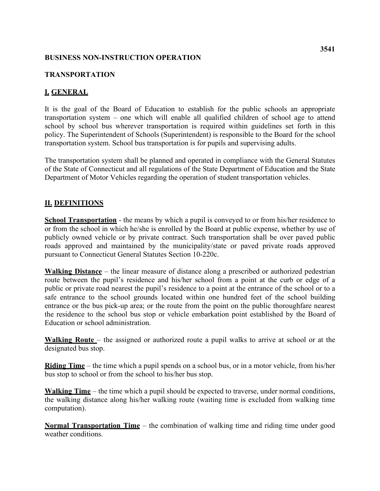#### **BUSINESS NON-INSTRUCTION OPERATION**

#### **TRANSPORTATION**

### **I. GENERAL**

 transportation system. School bus transportation is for pupils and supervising adults. It is the goal of the Board of Education to establish for the public schools an appropriate transportation system – one which will enable all qualified children of school age to attend school by school bus wherever transportation is required within guidelines set forth in this policy. The Superintendent of Schools (Superintendent) is responsible to the Board for the school

The transportation system shall be planned and operated in compliance with the General Statutes of the State of Connecticut and all regulations of the State Department of Education and the State Department of Motor Vehicles regarding the operation of student transportation vehicles.

#### **II. DEFINITIONS**

**School Transportation** - the means by which a pupil is conveyed to or from his/her residence to or from the school in which he/she is enrolled by the Board at public expense, whether by use of publicly owned vehicle or by private contract. Such transportation shall be over paved public roads approved and maintained by the municipality/state or paved private roads approved pursuant to Connecticut General Statutes Section 10-220c.

**Walking Distance** – the linear measure of distance along a prescribed or authorized pedestrian route between the pupil's residence and his/her school from a point at the curb or edge of a public or private road nearest the pupil's residence to a point at the entrance of the school or to a safe entrance to the school grounds located within one hundred feet of the school building entrance or the bus pick-up area; or the route from the point on the public thoroughfare nearest the residence to the school bus stop or vehicle embarkation point established by the Board of Education or school administration.

**Walking Route** – the assigned or authorized route a pupil walks to arrive at school or at the designated bus stop.

 **Riding Time** – the time which a pupil spends on a school bus, or in a motor vehicle, from his/her bus stop to school or from the school to his/her bus stop.

**Walking Time** – the time which a pupil should be expected to traverse, under normal conditions, the walking distance along his/her walking route (waiting time is excluded from walking time computation).

**Normal Transportation Time** – the combination of walking time and riding time under good weather conditions.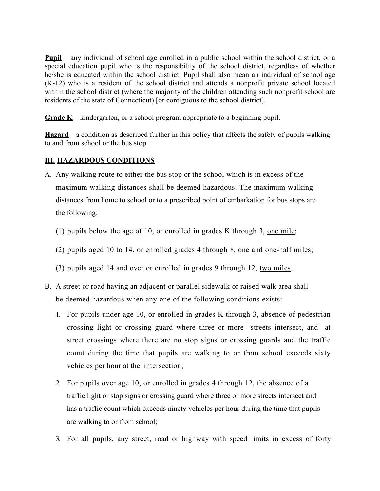special education pupil who is the responsibility of the school district, regardless of whether **Pupil** – any individual of school age enrolled in a public school within the school district, or a he/she is educated within the school district. Pupil shall also mean an individual of school age (K-12) who is a resident of the school district and attends a nonprofit private school located within the school district (where the majority of the children attending such nonprofit school are residents of the state of Connecticut) [or contiguous to the school district].

**Grade K** – kindergarten, or a school program appropriate to a beginning pupil.

**Hazard** – a condition as described further in this policy that affects the safety of pupils walking to and from school or the bus stop.

## **III. HAZARDOUS CONDITIONS**

- maximum walking distances shall be deemed hazardous. The maximum walking A. Any walking route to either the bus stop or the school which is in excess of the distances from home to school or to a prescribed point of embarkation for bus stops are the following:
	- (1) pupils below the age of 10, or enrolled in grades K through 3, one mile;
	- (2) pupils aged 10 to 14, or enrolled grades 4 through 8, one and one-half miles;
	- (3) pupils aged 14 and over or enrolled in grades 9 through 12, two miles.
- be deemed hazardous when any one of the following conditions exists: B. A street or road having an adjacent or parallel sidewalk or raised walk area shall
	- 1. For pupils under age 10, or enrolled in grades K through 3, absence of pedestrian crossing light or crossing guard where three or more streets intersect, and at street crossings where there are no stop signs or crossing guards and the traffic count during the time that pupils are walking to or from school exceeds sixty vehicles per hour at the intersection;
	- 2. For pupils over age 10, or enrolled in grades 4 through 12, the absence of a traffic light or stop signs or crossing guard where three or more streets intersect and has a traffic count which exceeds ninety vehicles per hour during the time that pupils are walking to or from school;
	- 3. For all pupils, any street, road or highway with speed limits in excess of forty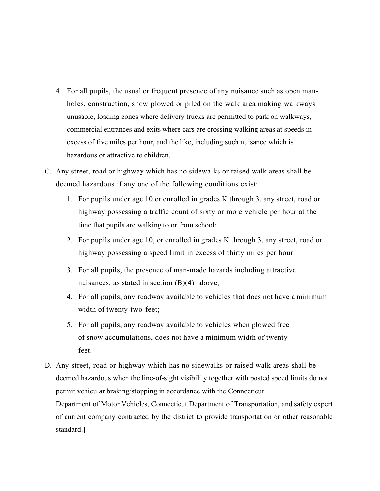- holes, construction, snow plowed or piled on the walk area making walkways commercial entrances and exits where cars are crossing walking areas at speeds in 4. For all pupils, the usual or frequent presence of any nuisance such as open manunusable, loading zones where delivery trucks are permitted to park on walkways, excess of five miles per hour, and the like, including such nuisance which is hazardous or attractive to children.
- deemed hazardous if any one of the following conditions exist: C. Any street, road or highway which has no sidewalks or raised walk areas shall be
	- 1. For pupils under age 10 or enrolled in grades K through 3, any street, road or highway possessing a traffic count of sixty or more vehicle per hour at the time that pupils are walking to or from school;
	- highway possessing a speed limit in excess of thirty miles per hour. 2. For pupils under age 10, or enrolled in grades K through 3, any street, road or
	- nuisances, as stated in section (B)(4) above; 3. For all pupils, the presence of man-made hazards including attractive
	- width of twenty-two feet; 4. For all pupils, any roadway available to vehicles that does not have a minimum
	- 5. For all pupils, any roadway available to vehicles when plowed free of snow accumulations, does not have a minimum width of twenty feet.
- D. Any street, road or highway which has no sidewalks or raised walk areas shall be of current company contracted by the district to provide transportation or other reasonable deemed hazardous when the line-of-sight visibility together with posted speed limits do not permit vehicular braking/stopping in accordance with the Connecticut Department of Motor Vehicles, Connecticut Department of Transportation, and safety expert standard.]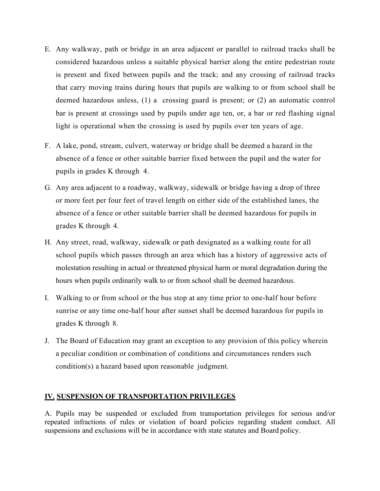- E. Any walkway, path or bridge in an area adjacent or parallel to railroad tracks shall be that carry moving trains during hours that pupils are walking to or from school shall be light is operational when the crossing is used by pupils over ten years of age. considered hazardous unless a suitable physical barrier along the entire pedestrian route is present and fixed between pupils and the track; and any crossing of railroad tracks deemed hazardous unless, (1) a crossing guard is present; or (2) an automatic control bar is present at crossings used by pupils under age ten, or, a bar or red flashing signal
- F. A lake, pond, stream, culvert, waterway or bridge shall be deemed a hazard in the pupils in grades K through 4. absence of a fence or other suitable barrier fixed between the pupil and the water for
- grades K through 4. G. Any area adjacent to a roadway, walkway, sidewalk or bridge having a drop of three or more feet per four feet of travel length on either side of the established lanes, the absence of a fence or other suitable barrier shall be deemed hazardous for pupils in
- school pupils which passes through an area which has a history of aggressive acts of H. Any street, road, walkway, sidewalk or path designated as a walking route for all molestation resulting in actual or threatened physical harm or moral degradation during the hours when pupils ordinarily walk to or from school shall be deemed hazardous.
- sunrise or any time one-half hour after sunset shall be deemed hazardous for pupils in grades K through 8. I. Walking to or from school or the bus stop at any time prior to one-half hour before
- condition(s) a hazard based upon reasonable judgment. J. The Board of Education may grant an exception to any provision of this policy wherein a peculiar condition or combination of conditions and circumstances renders such

# <u>IV. SUSPENSION OF TRANSPORTATION PRIVILEGES</u>

 suspensions and exclusions will be in accordance with state statutes and Board policy. A. Pupils may be suspended or excluded from transportation privileges for serious and/or repeated infractions of rules or violation of board policies regarding student conduct. All